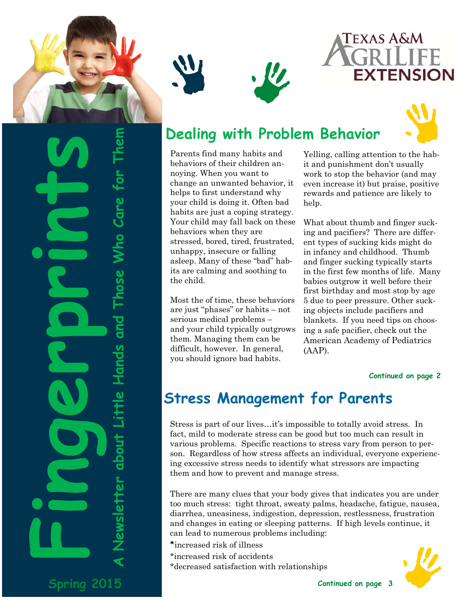

Those Who Care for

ewsletter about Little Hands and

**Spring 2015** 







# **Dealing with Problem Behavior**

Parents find many habits and behaviors of their children annoying. When you want to change an unwanted behavior, it helps to first understand why your child is doing it. Often bad habits are just a coping strategy. Your child may fall back on these behaviors when they are stressed, bored, tired, frustrated, unhappy, insecure or falling asleep. Many of these "bad" habits are calming and soothing to the child.

Most the of time, these behaviors are just "phases" or habits – not serious medical problems – and your child typically outgrows them. Managing them can be difficult, however. In general, you should ignore bad habits.

Yelling, calling attention to the habit and punishment don't usually work to stop the behavior (and may even increase it) but praise, positive rewards and patience are likely to help.

What about thumb and finger sucking and pacifiers? There are different types of sucking kids might do in infancy and childhood. Thumb and finger sucking typically starts in the first few months of life. Many babies outgrow it well before their first birthday and most stop by age 5 due to peer pressure. Other sucking objects include pacifiers and blankets. If you need tips on choosing a safe pacifier, check out the American Academy of Pediatrics (AAP).

### **Continued on page 2**

# **Stress Management for Parents**

Stress is part of our lives…it's impossible to totally avoid stress. In fact, mild to moderate stress can be good but too much can result in various problems. Specific reactions to stress vary from person to person. Regardless of how stress affects an individual, everyone experiencing excessive stress needs to identify what stressors are impacting them and how to prevent and manage stress.

There are many clues that your body gives that indicates you are under too much stress: tight throat, sweaty palms, headache, fatigue, nausea, diarrhea, uneasiness, indigestion, depression, restlessness, frustration and changes in eating or sleeping patterns. If high levels continue, it can lead to numerous problems including:

- \*increased risk of illness
- \*increased risk of accidents
- \*decreased satisfaction with relationships

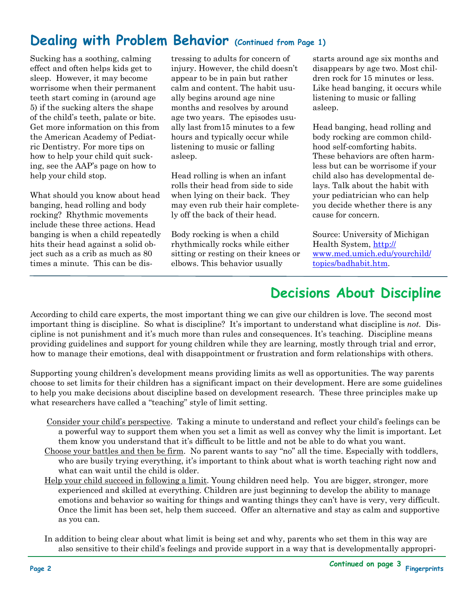# **Dealing with Problem Behavior (Continued from Page 1)**

Sucking has a soothing, calming effect and often helps kids get to sleep. However, it may become worrisome when their permanent teeth start coming in (around age 5) if the sucking alters the shape of the child's teeth, palate or bite. Get more information on this from the American Academy of Pediatric Dentistry. For more tips on how to help your child quit sucking, see the AAP's page on how to help your child stop.

What should you know about head banging, head rolling and body rocking? Rhythmic movements include these three actions. Head banging is when a child repeatedly hits their head against a solid object such as a crib as much as 80 times a minute. This can be distressing to adults for concern of injury. However, the child doesn't appear to be in pain but rather calm and content. The habit usually begins around age nine months and resolves by around age two years. The episodes usually last from15 minutes to a few hours and typically occur while listening to music or falling asleep.

Head rolling is when an infant rolls their head from side to side when lying on their back. They may even rub their hair completely off the back of their head.

Body rocking is when a child rhythmically rocks while either sitting or resting on their knees or elbows. This behavior usually

starts around age six months and disappears by age two. Most children rock for 15 minutes or less. Like head banging, it occurs while listening to music or falling asleep.

Head banging, head rolling and body rocking are common childhood self-comforting habits. These behaviors are often harmless but can be worrisome if your child also has developmental delays. Talk about the habit with your pediatrician who can help you decide whether there is any cause for concern.

Source: University of Michigan Health System, http:// www.med.umich.edu/yourchild/ topics/badhabit.htm.

## **Decisions About Discipline**

According to child care experts, the most important thing we can give our children is love. The second most important thing is discipline. So what is discipline? It's important to understand what discipline is *not.* Discipline is not punishment and it's much more than rules and consequences. It's teaching. Discipline means providing guidelines and support for young children while they are learning, mostly through trial and error, how to manage their emotions, deal with disappointment or frustration and form relationships with others.

Supporting young children's development means providing limits as well as opportunities. The way parents choose to set limits for their children has a significant impact on their development. Here are some guidelines to help you make decisions about discipline based on development research. These three principles make up what researchers have called a "teaching" style of limit setting.

- Consider your child's perspective. Taking a minute to understand and reflect your child's feelings can be a powerful way to support them when you set a limit as well as convey why the limit is important. Let them know you understand that it's difficult to be little and not be able to do what you want.
- Choose your battles and then be firm. No parent wants to say "no" all the time. Especially with toddlers, who are busily trying everything, it's important to think about what is worth teaching right now and what can wait until the child is older.
- Help your child succeed in following a limit. Young children need help. You are bigger, stronger, more experienced and skilled at everything. Children are just beginning to develop the ability to manage emotions and behavior so waiting for things and wanting things they can't have is very, very difficult. Once the limit has been set, help them succeed. Offer an alternative and stay as calm and supportive as you can.

In addition to being clear about what limit is being set and why, parents who set them in this way are also sensitive to their child's feelings and provide support in a way that is developmentally appropri-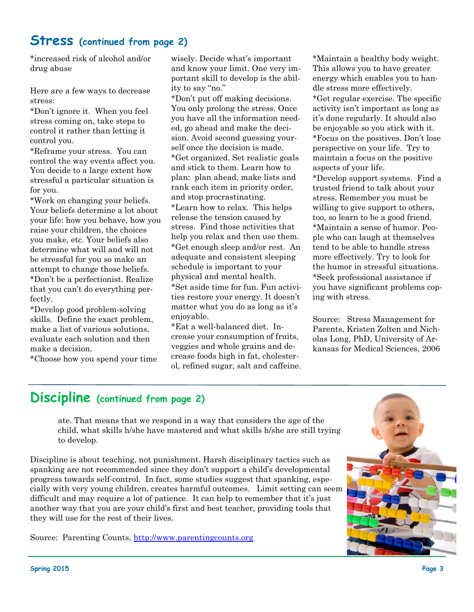### **Stress (continued from page 2)**

\*increased risk of alcohol and/or drug abuse

Here are a few ways to decrease stress:

\*Don't ignore it. When you feel stress coming on, take steps to control it rather than letting it control you.

\*Reframe your stress. You can control the way events affect you. You decide to a large extent how stressful a particular situation is for you.

\*Work on changing your beliefs. Your beliefs determine a lot about your life: how you behave, how you raise your children, the choices you make, etc. Your beliefs also determine what will and will not be stressful for you so make an attempt to change those beliefs. \*Don't be a perfectionist. Realize that you can't do everything perfectly.

\*Develop good problem-solving skills. Define the exact problem, make a list of various solutions, evaluate each solution and then make a decision.

\*Choose how you spend your time

wisely. Decide what's important and know your limit. One very important skill to develop is the ability to say "no."

\*Don't put off making decisions. You only prolong the stress. Once you have all the information needed, go ahead and make the decision. Avoid second guessing yourself once the decision is made. \*Get organized. Set realistic goals and stick to them. Learn how to plan: plan ahead, make lists and rank each item in priority order, and stop procrastinating. \*Learn how to relax. This helps release the tension caused by stress. Find those activities that help you relax and then use them. \*Get enough sleep and/or rest. An adequate and consistent sleeping schedule is important to your physical and mental health. \*Set aside time for fun. Fun activities restore your energy. It doesn't matter what you do as long as it's enjoyable.

\*Eat a well-balanced diet. Increase your consumption of fruits, veggies and whole grains and decrease foods high in fat, cholesterol, refined sugar, salt and caffeine. \*Maintain a healthy body weight. This allows you to have greater energy which enables you to handle stress more effectively. \*Get regular exercise. The specific

activity isn't important as long as it's done regularly. It should also be enjoyable so you stick with it. \*Focus on the positives. Don't lose perspective on your life. Try to

maintain a focus on the positive aspects of your life.

\*Develop support systems. Find a trusted friend to talk about your stress. Remember you must be willing to give support to others, too, so learn to be a good friend. \*Maintain a sense of humor. People who can laugh at themselves tend to be able to handle stress more effectively. Try to look for the humor in stressful situations. \*Seek professional assistance if you have significant problems coping with stress.

Source: Stress Management for Parents, Kristen Zolten and Nicholas Long, PhD, University of Arkansas for Medical Sciences, 2006

### **Discipline (continued from page 2)**

ate. That means that we respond in a way that considers the age of the child, what skills h/she have mastered and what skills h/she are still trying to develop.

Discipline is about teaching, not punishment. Harsh disciplinary tactics such as spanking are not recommended since they don't support a child's developmental progress towards self-control. In fact, some studies suggest that spanking, especially with very young children, creates harmful outcomes. Limit setting can seem difficult and may require a lot of patience. It can help to remember that it's just another way that you are your child's first and best teacher, providing tools that they will use for the rest of their lives.

Source: Parenting Counts, http://www.parentingcounts.org